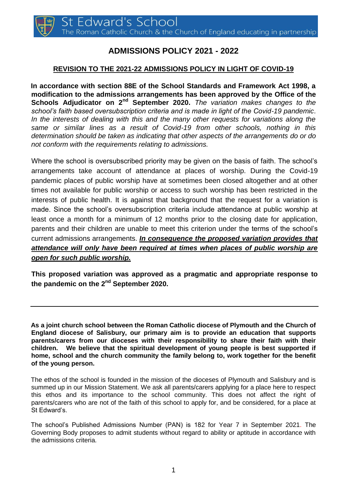# **ADMISSIONS POLICY 2021 - 2022**

# **REVISION TO THE 2021-22 ADMISSIONS POLICY IN LIGHT OF COVID-19**

**In accordance with section 88E of the School Standards and Framework Act 1998, a modification to the admissions arrangements has been approved by the Office of the Schools Adjudicator on 2nd September 2020.** *The variation makes changes to the school's faith based oversubscription criteria and is made in light of the Covid-19 pandemic*. In the interests of dealing with this and the many other requests for variations along the *same or similar lines as a result of Covid-19 from other schools, nothing in this determination should be taken as indicating that other aspects of the arrangements do or do not conform with the requirements relating to admissions.* 

Where the school is oversubscribed priority may be given on the basis of faith. The school's arrangements take account of attendance at places of worship. During the Covid-19 pandemic places of public worship have at sometimes been closed altogether and at other times not available for public worship or access to such worship has been restricted in the interests of public health. It is against that background that the request for a variation is made. Since the school's oversubscription criteria include attendance at public worship at least once a month for a minimum of 12 months prior to the closing date for application, parents and their children are unable to meet this criterion under the terms of the school's current admissions arrangements. *In consequence the proposed variation provides that attendance will only have been required at times when places of public worship are open for such public worship.* 

**This proposed variation was approved as a pragmatic and appropriate response to the pandemic on the 2nd September 2020.** 

**As a joint church school between the Roman Catholic diocese of Plymouth and the Church of England diocese of Salisbury, our primary aim is to provide an education that supports parents/carers from our dioceses with their responsibility to share their faith with their children. We believe that the spiritual development of young people is best supported if home, school and the church community the family belong to, work together for the benefit of the young person.** 

The ethos of the school is founded in the mission of the dioceses of Plymouth and Salisbury and is summed up in our Mission Statement. We ask all parents/carers applying for a place here to respect this ethos and its importance to the school community. This does not affect the right of parents/carers who are not of the faith of this school to apply for, and be considered, for a place at St Edward's.

The school's Published Admissions Number (PAN) is 182 for Year 7 in September 2021. The Governing Body proposes to admit students without regard to ability or aptitude in accordance with the admissions criteria.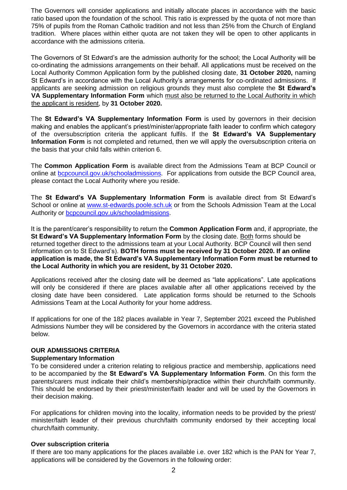The Governors will consider applications and initially allocate places in accordance with the basic ratio based upon the foundation of the school. This ratio is expressed by the quota of not more than 75% of pupils from the Roman Catholic tradition and not less than 25% from the Church of England tradition. Where places within either quota are not taken they will be open to other applicants in accordance with the admissions criteria.

The Governors of St Edward's are the admission authority for the school; the Local Authority will be co-ordinating the admissions arrangements on their behalf. All applications must be received on the Local Authority Common Application form by the published closing date, **31 October 2020,** naming St Edward's in accordance with the Local Authority's arrangements for co-ordinated admissions. If applicants are seeking admission on religious grounds they must also complete the **St Edward's VA Supplementary Information Form** which must also be returned to the Local Authority in which the applicant is resident, by **31 October 2020.**

The **St Edward's VA Supplementary Information Form** is used by governors in their decision making and enables the applicant's priest/minister/appropriate faith leader to confirm which category of the oversubscription criteria the applicant fulfils. If the **St Edward's VA Supplementary Information Form** is not completed and returned, then we will apply the oversubscription criteria on the basis that your child falls within criterion 6.

The **Common Application Form** is available direct from the Admissions Team at BCP Council or online at [bcpcouncil.gov.uk/schooladmissions.](http://www.bcpcouncil.gov.uk/schooladmissions) For applications from outside the BCP Council area, please contact the Local Authority where you reside.

The **St Edward's VA Supplementary Information Form** is available direct from St Edward's School or online at [www.st-edwards.poole.sch.uk](http://www.st-edwards.poole.sch.uk/) [o](http://www.st-edwards.poole.sch.uk/)r from the Schools Admission Team at the Local Authority or [bcpcouncil.gov.uk/schooladmissions.](http://www.bcpcouncil.gov.uk/schooladmissions)

It is the parent/carer's responsibility to return the **Common Application Form** and, if appropriate, the **St Edward's VA Supplementary Information Form** by the closing date. Both forms should be returned together direct to the admissions team at your Local Authority. BCP Council will then send information on to St Edward's). **BOTH forms must be received by 31 October 2020. If an online application is made, the St Edward's VA Supplementary Information Form must be returned to the Local Authority in which you are resident, by 31 October 2020.**

Applications received after the closing date will be deemed as "late applications". Late applications will only be considered if there are places available after all other applications received by the closing date have been considered. Late application forms should be returned to the Schools Admissions Team at the Local Authority for your home address.

If applications for one of the 182 places available in Year 7, September 2021 exceed the Published Admissions Number they will be considered by the Governors in accordance with the criteria stated below.

# **OUR ADMISSIONS CRITERIA**

# **Supplementary Information**

To be considered under a criterion relating to religious practice and membership, applications need to be accompanied by the **St Edward's VA Supplementary Information Form**. On this form the parents/carers must indicate their child's membership/practice within their church/faith community. This should be endorsed by their priest/minister/faith leader and will be used by the Governors in their decision making.

For applications for children moving into the locality, information needs to be provided by the priest/ minister/faith leader of their previous church/faith community endorsed by their accepting local church/faith community.

# **Over subscription criteria**

If there are too many applications for the places available i.e. over 182 which is the PAN for Year 7, applications will be considered by the Governors in the following order: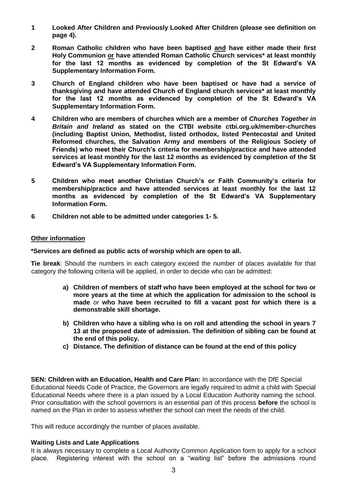- **1 Looked After Children and Previously Looked After Children (please see definition on page 4).**
- **2 Roman Catholic children who have been baptised and have either made their first Holy Communion or have attended Roman Catholic Church services\* at least monthly for the last 12 months as evidenced by completion of the St Edward's VA Supplementary Information Form.**
- **3 Church of England children who have been baptised or have had a service of thanksgiving and have attended Church of England church services\* at least monthly for the last 12 months as evidenced by completion of the St Edward's VA Supplementary Information Form.**
- **4 Children who are members of churches which are a member of** *Churches Together in Britain and Ireland* **as stated on the CTBI website ctbi.org.uk/member-churches (including Baptist Union, Methodist, listed orthodox, listed Pentecostal and United Reformed churches, the Salvation Army and members of the Religious Society of Friends) who meet their Church's criteria for membership/practice and have attended services at least monthly for the last 12 months as evidenced by completion of the St Edward's VA Supplementary Information Form.**
- **5 Children who meet another Christian Church's or Faith Community's criteria for membership/practice and have attended services at least monthly for the last 12 months as evidenced by completion of the St Edward's VA Supplementary Information Form.**
- **6 Children not able to be admitted under categories 1- 5.**

#### **Other information**

#### **\*Services are defined as public acts of worship which are open to all.**

**Tie break**: Should the numbers in each category exceed the number of places available for that category the following criteria will be applied, in order to decide who can be admitted:

- **a) Children of members of staff who have been employed at the school for two or more years at the time at which the application for admission to the school is made** *or* **who have been recruited to fill a vacant post for which there is a demonstrable skill shortage.**
- **b) Children who have a sibling who is on roll and attending the school in years 7 13 at the proposed date of admission. The definition of sibling can be found at the end of this policy.**
- **c) Distance. The definition of distance can be found at the end of this policy**

**SEN: Children with an Education, Health and Care Plan:** In accordance with the DfE Special Educational Needs Code of Practice, the Governors are legally required to admit a child with Special Educational Needs where there is a plan issued by a Local Education Authority naming the school. Prior consultation with the school governors is an essential part of this process **before** the school is named on the Plan in order to assess whether the school can meet the needs of the child.

This will reduce accordingly the number of places available.

# **Waiting Lists and Late Applications**

It is always necessary to complete a Local Authority Common Application form to apply for a school place. Registering interest with the school on a "waiting list" before the admissions round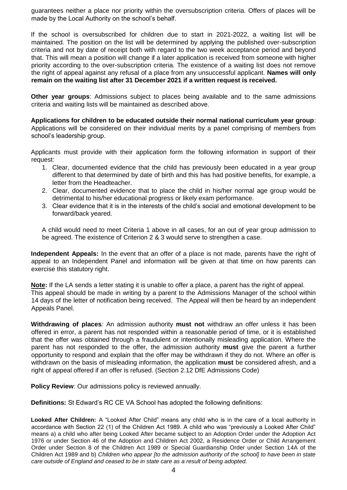guarantees neither a place nor priority within the oversubscription criteria. Offers of places will be made by the Local Authority on the school's behalf.

If the school is oversubscribed for children due to start in 2021-2022, a waiting list will be maintained. The position on the list will be determined by applying the published over-subscription criteria and not by date of receipt both with regard to the two week acceptance period and beyond that. This will mean a position will change if a later application is received from someone with higher priority according to the over-subscription criteria. The existence of a waiting list does not remove the right of appeal against any refusal of a place from any unsuccessful applicant. **Names will only remain on the waiting list after 31 December 2021 if a written request is received.**

**Other year groups**: Admissions subject to places being available and to the same admissions criteria and waiting lists will be maintained as described above.

**Applications for children to be educated outside their normal national curriculum year group**: Applications will be considered on their individual merits by a panel comprising of members from school's leadership group.

Applicants must provide with their application form the following information in support of their request:

- 1. Clear, documented evidence that the child has previously been educated in a year group different to that determined by date of birth and this has had positive benefits, for example, a letter from the Headteacher.
- 2. Clear, documented evidence that to place the child in his/her normal age group would be detrimental to his/her educational progress or likely exam performance.
- 3. Clear evidence that it is in the interests of the child's social and emotional development to be forward/back yeared.

A child would need to meet Criteria 1 above in all cases, for an out of year group admission to be agreed. The existence of Criterion 2 & 3 would serve to strengthen a case.

**Independent Appeals:** In the event that an offer of a place is not made, parents have the right of appeal to an Independent Panel and information will be given at that time on how parents can exercise this statutory right.

**Note:** If the LA sends a letter stating it is unable to offer a place, a parent has the right of appeal. This appeal should be made in writing by a parent to the Admissions Manager of the school within 14 days of the letter of notification being received. The Appeal will then be heard by an independent Appeals Panel.

**Withdrawing of places***:* An admission authority **must not** withdraw an offer unless it has been offered in error, a parent has not responded within a reasonable period of time, or it is established that the offer was obtained through a fraudulent or intentionally misleading application. Where the parent has not responded to the offer, the admission authority **must** give the parent a further opportunity to respond and explain that the offer may be withdrawn if they do not. Where an offer is withdrawn on the basis of misleading information, the application **must** be considered afresh, and a right of appeal offered if an offer is refused. (Section 2.12 DfE Admissions Code)

**Policy Review**: Our admissions policy is reviewed annually.

**Definitions:** St Edward's RC CE VA School has adopted the following definitions:

**Looked After Children:** A "Looked After Child" means any child who is in the care of a local authority in accordance with Section 22 (1) of the Children Act 1989. A child who was "previously a Looked After Child" means a) a child who after being Looked After became subject to an Adoption Order under the Adoption Act 1976 or under Section 46 of the Adoption and Children Act 2002, a Residence Order or Child Arrangement Order under Section 8 of the Children Act 1989 or Special Guardianship Order under Section 14A of the Children Act 1989 and b) *Children who appear [to the admission authority of the school] to have been in state care outside of England and ceased to be in state care as a result of being adopted.*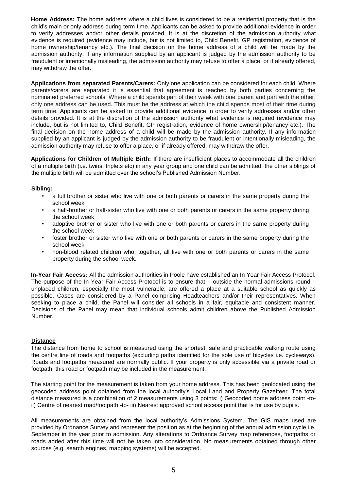**Home Address:** The home address where a child lives is considered to be a residential property that is the child's main or only address during term time. Applicants can be asked to provide additional evidence in order to verify addresses and/or other details provided. It is at the discretion of the admission authority what evidence is required (evidence may include, but is not limited to, Child Benefit, GP registration, evidence of home ownership/tenancy etc.). The final decision on the home address of a child will be made by the admission authority. If any information supplied by an applicant is judged by the admission authority to be fraudulent or intentionally misleading, the admission authority may refuse to offer a place, or if already offered, may withdraw the offer.

**Applications from separated Parents/Carers:** Only one application can be considered for each child. Where parents/carers are separated it is essential that agreement is reached by both parties concerning the nominated preferred schools. Where a child spends part of their week with one parent and part with the other, only one address can be used. This must be the address at which the child spends most of their time during term time. Applicants can be asked to provide additional evidence in order to verify addresses and/or other details provided. It is at the discretion of the admission authority what evidence is required (evidence may include, but is not limited to, Child Benefit, GP registration, evidence of home ownership/tenancy etc.). The final decision on the home address of a child will be made by the admission authority. If any information supplied by an applicant is judged by the admission authority to be fraudulent or intentionally misleading, the admission authority may refuse to offer a place, or if already offered, may withdraw the offer.

**Applications for Children of Multiple Birth:** If there are insufficient places to accommodate all the children of a multiple birth (i.e. twins, triplets etc) in any year group and one child can be admitted, the other siblings of the multiple birth will be admitted over the school's Published Admission Number.

#### **Sibling:**

- a full brother or sister who live with one or both parents or carers in the same property during the school week
- a half-brother or half-sister who live with one or both parents or carers in the same property during the school week
- adoptive brother or sister who live with one or both parents or carers in the same property during the school week
- foster brother or sister who live with one or both parents or carers in the same property during the school week
- non-blood related children who, together, all live with one or both parents or carers in the same property during the school week.

**In-Year Fair Access:** All the admission authorities in Poole have established an In Year Fair Access Protocol. The purpose of the In Year Fair Access Protocol is to ensure that – outside the normal admissions round – unplaced children, especially the most vulnerable, are offered a place at a suitable school as quickly as possible. Cases are considered by a Panel comprising Headteachers and/or their representatives. When seeking to place a child, the Panel will consider all schools in a fair, equitable and consistent manner. Decisions of the Panel may mean that individual schools admit children above the Published Admission Number.

#### **Distance**

The distance from home to school is measured using the shortest, safe and practicable walking route using the centre line of roads and footpaths (excluding paths identified for the sole use of bicycles i.e. cycleways). Roads and footpaths measured are normally public. If your property is only accessible via a private road or footpath, this road or footpath may be included in the measurement.

The starting point for the measurement is taken from your home address. This has been geolocated using the geocoded address point obtained from the local authority's Local Land and Property Gazetteer. The total distance measured is a combination of 2 measurements using 3 points: i) Geocoded home address point -toii) Centre of nearest road/footpath -to- iii) Nearest approved school access point that is for use by pupils.

All measurements are obtained from the local authority's Admissions System. The GIS maps used are provided by Ordnance Survey and represent the position as at the beginning of the annual admission cycle i.e. September in the year prior to admission. Any alterations to Ordnance Survey map references, footpaths or roads added after this time will not be taken into consideration. No measurements obtained through other sources (e.g. search engines, mapping systems) will be accepted.